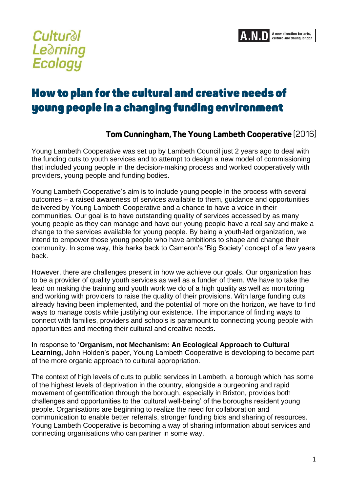

## **Cultural Le**drning **Ecology**

## How to plan for the cultural and creative needs of young people in a changing funding environment

## Tom Cunningham, The Young Lambeth Cooperative (2016)

Young Lambeth Cooperative was set up by Lambeth Council just 2 years ago to deal with the funding cuts to youth services and to attempt to design a new model of commissioning that included young people in the decision-making process and worked cooperatively with providers, young people and funding bodies.

Young Lambeth Cooperative's aim is to include young people in the process with several outcomes – a raised awareness of services available to them, guidance and opportunities delivered by Young Lambeth Cooperative and a chance to have a voice in their communities. Our goal is to have outstanding quality of services accessed by as many young people as they can manage and have our young people have a real say and make a change to the services available for young people. By being a youth-led organization, we intend to empower those young people who have ambitions to shape and change their community. In some way, this harks back to Cameron's 'Big Society' concept of a few years back.

However, there are challenges present in how we achieve our goals. Our organization has to be a provider of quality youth services as well as a funder of them. We have to take the lead on making the training and youth work we do of a high quality as well as monitoring and working with providers to raise the quality of their provisions. With large funding cuts already having been implemented, and the potential of more on the horizon, we have to find ways to manage costs while justifying our existence. The importance of finding ways to connect with families, providers and schools is paramount to connecting young people with opportunities and meeting their cultural and creative needs.

In response to '**Organism, not Mechanism: An Ecological Approach to Cultural Learning,** John Holden's paper, Young Lambeth Cooperative is developing to become part of the more organic approach to cultural appropriation.

The context of high levels of cuts to public services in Lambeth, a borough which has some of the highest levels of deprivation in the country, alongside a burgeoning and rapid movement of gentrification through the borough, especially in Brixton, provides both challenges and opportunities to the 'cultural well-being' of the boroughs resident young people. Organisations are beginning to realize the need for collaboration and communication to enable better referrals, stronger funding bids and sharing of resources. Young Lambeth Cooperative is becoming a way of sharing information about services and connecting organisations who can partner in some way.